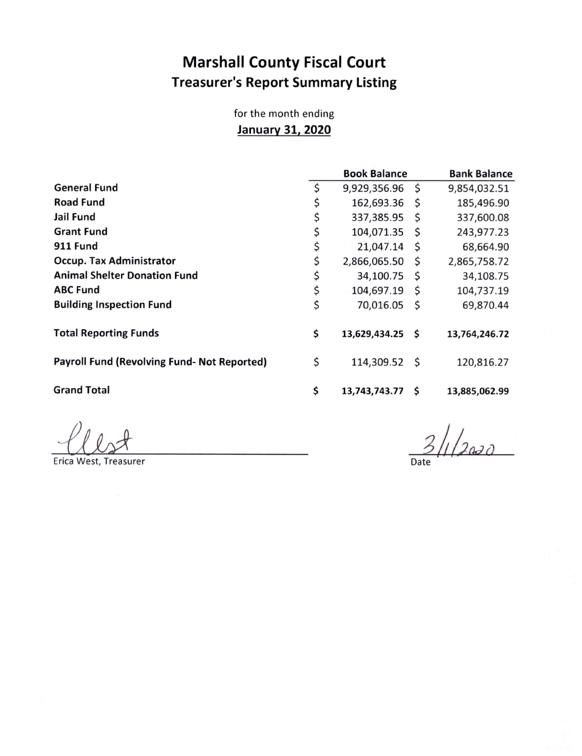## Marshall County Fiscal Court **Treasurer's Report Summary Listing**

for the month ending January 31, 2020

|                                                    | <b>Book Balance</b>    | <b>Bank Balance</b> |               |
|----------------------------------------------------|------------------------|---------------------|---------------|
| <b>General Fund</b>                                | \$<br>9,929,356.96     | \$                  | 9,854,032.51  |
| <b>Road Fund</b>                                   | \$<br>162,693.36       | -\$                 | 185,496.90    |
| Jail Fund                                          | \$<br>337,385.95       | \$                  | 337,600.08    |
| <b>Grant Fund</b>                                  | \$<br>104,071.35       | S                   | 243,977.23    |
| <b>911 Fund</b>                                    | \$<br>21,047.14        | \$                  | 68,664.90     |
| <b>Occup. Tax Administrator</b>                    | \$<br>2,866,065.50     | \$                  | 2,865,758.72  |
| <b>Animal Shelter Donation Fund</b>                | \$<br>34,100.75        | \$                  | 34,108.75     |
| <b>ABC Fund</b>                                    | \$<br>104,697.19       | -\$                 | 104,737.19    |
| <b>Building Inspection Fund</b>                    | \$<br>70,016.05        | \$                  | 69,870.44     |
| <b>Total Reporting Funds</b>                       | \$<br>13,629,434.25 \$ |                     | 13,764,246.72 |
| <b>Payroll Fund (Revolving Fund- Not Reported)</b> | \$<br>114,309.52 \$    |                     | 120,816.27    |
| <b>Grand Total</b>                                 | \$<br>13,743,743.77    | S                   | 13,885,062.99 |

Erica West, Treasurer Date Erica West, Treasurer Date